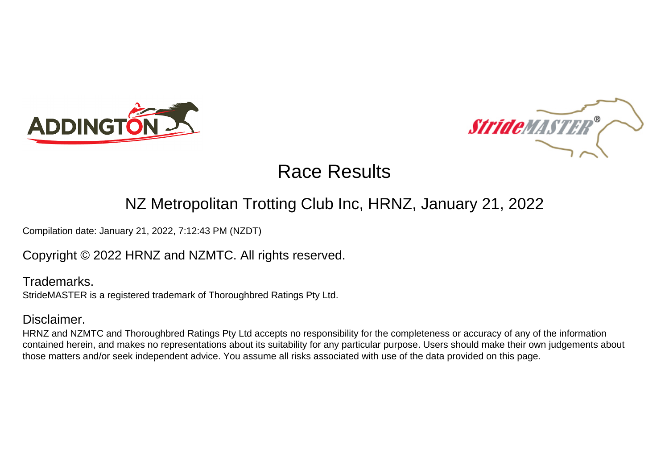



### NZ Metropolitan Trotting Club Inc, HRNZ, January 21, 2022

Compilation date: January 21, 2022, 7:12:43 PM (NZDT)

### Copyright © 2022 HRNZ and NZMTC. All rights reserved.

Trademarks. StrideMASTER is a registered trademark of Thoroughbred Ratings Pty Ltd.

### Disclaimer.

HRNZ and NZMTC and Thoroughbred Ratings Pty Ltd accepts no responsibility for the completeness or accuracy of any of the information contained herein, and makes no representations about its suitability for any particular purpose. Users should make their own judgements about those matters and/or seek independent advice. You assume all risks associated with use of the data provided on this page.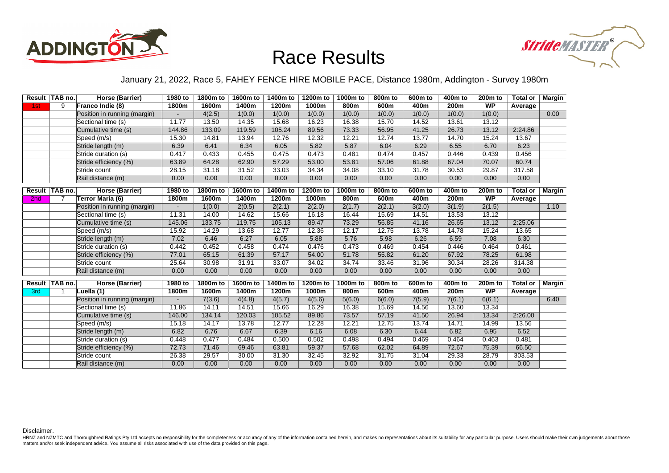



#### January 21, 2022, Race 5, FAHEY FENCE HIRE MOBILE PACE, Distance 1980m, Addington - Survey 1980m

|     | Result   TAB no. | Horse (Barrier)              | 1980 to | 1800m to | 1600m to | 1400m to | 1200m to | 1000m to         | 800 <sub>m</sub> to | 600m to | 400m to          | 200m to             | Total or   Margin |        |
|-----|------------------|------------------------------|---------|----------|----------|----------|----------|------------------|---------------------|---------|------------------|---------------------|-------------------|--------|
| 1st | 9                | Franco Indie (8)             | 1800m   | 1600m    | 1400m    | 1200m    | 1000m    | 800 <sub>m</sub> | 600m                | 400m    | 200 <sub>m</sub> | <b>WP</b>           | Average           |        |
|     |                  | Position in running (margin) |         | 4(2.5)   | 1(0.0)   | 1(0.0)   | 1(0.0)   | 1(0.0)           | 1(0.0)              | 1(0.0)  | 1(0.0)           | 1(0.0)              |                   | 0.00   |
|     |                  | Sectional time (s)           | 11.77   | 13.50    | 14.35    | 15.68    | 16.23    | 16.38            | 15.70               | 14.52   | 13.61            | 13.12               |                   |        |
|     |                  | Cumulative time (s)          | 144.86  | 133.09   | 119.59   | 105.24   | 89.56    | 73.33            | 56.95               | 41.25   | 26.73            | 13.12               | 2:24.86           |        |
|     |                  | Speed (m/s)                  | 15.30   | 14.81    | 13.94    | 12.76    | 12.32    | 12.21            | 12.74               | 13.77   | 14.70            | 15.24               | 13.67             |        |
|     |                  | Stride length (m)            | 6.39    | 6.41     | 6.34     | 6.05     | 5.82     | 5.87             | 6.04                | 6.29    | 6.55             | 6.70                | 6.23              |        |
|     |                  | Stride duration (s)          | 0.417   | 0.433    | 0.455    | 0.475    | 0.473    | 0.481            | 0.474               | 0.457   | 0.446            | 0.439               | 0.456             |        |
|     |                  | Stride efficiency (%)        | 63.89   | 64.28    | 62.90    | 57.29    | 53.00    | 53.81            | 57.06               | 61.88   | 67.04            | 70.07               | 60.74             |        |
|     |                  | Stride count                 | 28.15   | 31.18    | 31.52    | 33.03    | 34.34    | 34.08            | 33.10               | 31.78   | 30.53            | 29.87               | 317.58            |        |
|     |                  | Rail distance (m)            | 0.00    | 0.00     | 0.00     | 0.00     | 0.00     | 0.00             | 0.00                | 0.00    | 0.00             | 0.00                | 0.00              |        |
|     | Result TAB no.   | <b>Horse (Barrier)</b>       | 1980 to | 1800m to | 1600m to | 1400m to | 1200m to | 1000m to         | 800m to             | 600m to | 400m to          | 200 <sub>m</sub> to | <b>Total or</b>   | Margin |
| 2nd | $\overline{7}$   | Terror Maria (6)             | 1800m   | 1600m    | 1400m    | 1200m    | 1000m    | 800m             | 600m                | 400m    | 200 <sub>m</sub> | <b>WP</b>           | Average           |        |
|     |                  | Position in running (margin) |         | 1(0.0)   | 2(0.5)   | 2(2.1)   | 2(2.0)   | 2(1.7)           | 2(2.1)              | 3(2.0)  | 3(1.9)           | 2(1.5)              |                   | 1.10   |
|     |                  | Sectional time (s)           | 11.31   | 14.00    | 14.62    | 15.66    | 16.18    | 16.44            | 15.69               | 14.51   | 13.53            | 13.12               |                   |        |
|     |                  | Cumulative time (s)          | 145.06  | 133.75   | 119.75   | 105.13   | 89.47    | 73.29            | 56.85               | 41.16   | 26.65            | 13.12               | 2:25.06           |        |
|     |                  | Speed (m/s)                  | 15.92   | 14.29    | 13.68    | 12.77    | 12.36    | 12.17            | 12.75               | 13.78   | 14.78            | 15.24               | 13.65             |        |
|     |                  | Stride length (m)            | 7.02    | 6.46     | 6.27     | 6.05     | 5.88     | 5.76             | 5.98                | 6.26    | 6.59             | 7.08                | 6.30              |        |
|     |                  | Stride duration (s)          | 0.442   | 0.452    | 0.458    | 0.474    | 0.476    | 0.473            | 0.469               | 0.454   | 0.446            | 0.464               | 0.461             |        |
|     |                  | Stride efficiency (%)        | 77.01   | 65.15    | 61.39    | 57.17    | 54.00    | 51.78            | 55.82               | 61.20   | 67.92            | 78.25               | 61.98             |        |
|     |                  | Stride count                 | 25.64   | 30.98    | 31.91    | 33.07    | 34.02    | 34.74            | 33.46               | 31.96   | 30.34            | 28.26               | 314.38            |        |
|     |                  | Rail distance (m)            | 0.00    | 0.00     | 0.00     | 0.00     | 0.00     | 0.00             | 0.00                | 0.00    | 0.00             | 0.00                | 0.00              |        |
|     | Result TAB no.   | Horse (Barrier)              | 1980 to | 1800m to | 1600m to | 1400m to | 1200m to | 1000m to         | 800m to             | 600m to | 400m to          | 200m to             | <b>Total or</b>   | Margin |
| 3rd | -1               | Luella (1)                   | 1800m   | 1600m    | 1400m    | 1200m    | 1000m    | 800m             | 600m                | 400m    | 200m             | <b>WP</b>           | Average           |        |
|     |                  | Position in running (margin) |         | 7(3.6)   | 4(4.8)   | 4(5.7)   | 4(5.6)   | 5(6.0)           | 6(6.0)              | 7(5.9)  | 7(6.1)           | 6(6.1)              |                   | 6.40   |
|     |                  | Sectional time (s)           | 11.86   | 14.11    | 14.51    | 15.66    | 16.29    | 16.38            | 15.69               | 14.56   | 13.60            | 13.34               |                   |        |
|     |                  | Cumulative time (s)          | 146.00  | 134.14   | 120.03   | 105.52   | 89.86    | 73.57            | 57.19               | 41.50   | 26.94            | 13.34               | 2:26.00           |        |
|     |                  | Speed (m/s)                  | 15.18   | 14.17    | 13.78    | 12.77    | 12.28    | 12.21            | 12.75               | 13.74   | 14.71            | 14.99               | 13.56             |        |
|     |                  | Stride length (m)            | 6.82    | 6.76     | 6.67     | 6.39     | 6.16     | 6.08             | 6.30                | 6.44    | 6.82             | 6.95                | 6.52              |        |
|     |                  | Stride duration (s)          | 0.448   | 0.477    | 0.484    | 0.500    | 0.502    | 0.498            | 0.494               | 0.469   | 0.464            | 0.463               | 0.481             |        |
|     |                  | Stride efficiency (%)        | 72.73   | 71.46    | 69.46    | 63.81    | 59.37    | 57.68            | 62.02               | 64.89   | 72.67            | 75.39               | 66.50             |        |
|     |                  | Stride count                 | 26.38   | 29.57    | 30.00    | 31.30    | 32.45    | 32.92            | 31.75               | 31.04   | 29.33            | 28.79               | 303.53            |        |
|     |                  | Rail distance (m)            | 0.00    | 0.00     | 0.00     | 0.00     | 0.00     | 0.00             | 0.00                | 0.00    | 0.00             | 0.00                | 0.00              |        |

Disclaimer.

HRNZ and NZMTC and Thoroughbred Ratings Pty Ltd accepts no responsibility for the completeness or accuracy of any of the information contained herein, and makes no representations about its suitability for any particular p matters and/or seek independent advice. You assume all risks associated with use of the data provided on this page.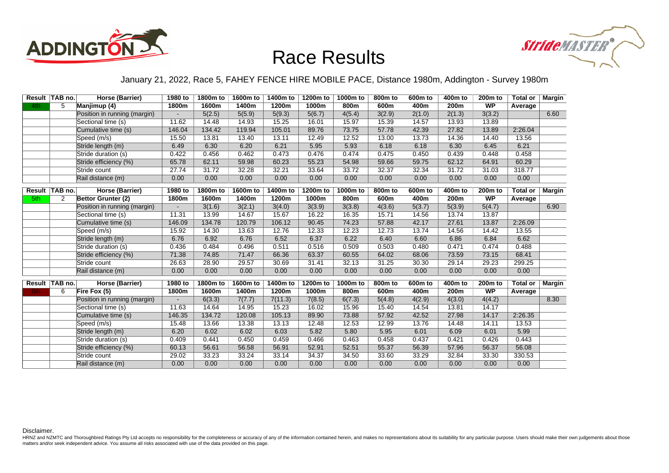



#### January 21, 2022, Race 5, FAHEY FENCE HIRE MOBILE PACE, Distance 1980m, Addington - Survey 1980m

|      | Result   TAB no. | Horse (Barrier)              | 1980 to | 1800m to | 1600m to | 1400m to | 1200m to | 1000m to         | 800 <sub>m</sub> to | 600m to | 400m to          | 200m to             | Total or   Margin |        |
|------|------------------|------------------------------|---------|----------|----------|----------|----------|------------------|---------------------|---------|------------------|---------------------|-------------------|--------|
| 4th  | 5                | Manjimup (4)                 | 1800m   | 1600m    | 1400m    | 1200m    | 1000m    | 800 <sub>m</sub> | 600m                | 400m    | 200m             | <b>WP</b>           | Average           |        |
|      |                  | Position in running (margin) |         | 5(2.5)   | 5(5.9)   | 5(9.3)   | 5(6.7)   | 4(5.4)           | 3(2.9)              | 2(1.0)  | 2(1.3)           | 3(3.2)              |                   | 6.60   |
|      |                  | Sectional time (s)           | 11.62   | 14.48    | 14.93    | 15.25    | 16.01    | 15.97            | 15.39               | 14.57   | 13.93            | 13.89               |                   |        |
|      |                  | Cumulative time (s)          | 146.04  | 134.42   | 119.94   | 105.01   | 89.76    | 73.75            | 57.78               | 42.39   | 27.82            | 13.89               | 2:26.04           |        |
|      |                  | Speed (m/s)                  | 15.50   | 13.81    | 13.40    | 13.11    | 12.49    | 12.52            | 13.00               | 13.73   | 14.36            | 14.40               | 13.56             |        |
|      |                  | Stride length (m)            | 6.49    | 6.30     | 6.20     | 6.21     | 5.95     | 5.93             | 6.18                | 6.18    | 6.30             | 6.45                | 6.21              |        |
|      |                  | Stride duration (s)          | 0.422   | 0.456    | 0.462    | 0.473    | 0.476    | 0.474            | 0.475               | 0.450   | 0.439            | 0.448               | 0.458             |        |
|      |                  | Stride efficiency (%)        | 65.78   | 62.11    | 59.98    | 60.23    | 55.23    | 54.98            | 59.66               | 59.75   | 62.12            | 64.91               | 60.29             |        |
|      |                  | Stride count                 | 27.74   | 31.72    | 32.28    | 32.21    | 33.64    | 33.72            | 32.37               | 32.34   | 31.72            | 31.03               | 318.77            |        |
|      |                  | Rail distance (m)            | 0.00    | 0.00     | 0.00     | 0.00     | 0.00     | 0.00             | 0.00                | 0.00    | 0.00             | 0.00                | 0.00              |        |
|      | Result TAB no.   | <b>Horse (Barrier)</b>       | 1980 to | 1800m to | 1600m to | 1400m to | 1200m to | 1000m to         | 800m to             | 600m to | 400m to          | 200 <sub>m</sub> to | <b>Total or</b>   | Margin |
| 5th  | 2                | Bettor Grunter (2)           | 1800m   | 1600m    | 1400m    | 1200m    | 1000m    | 800m             | 600m                | 400m    | 200 <sub>m</sub> | <b>WP</b>           | Average           |        |
|      |                  | Position in running (margin) |         | 3(1.6)   | 3(2.1)   | 3(4.0)   | 3(3.9)   | 3(3.8)           | 4(3.6)              | 5(3.7)  | 5(3.9)           | 5(4.7)              |                   | 6.90   |
|      |                  | Sectional time (s)           | 11.31   | 13.99    | 14.67    | 15.67    | 16.22    | 16.35            | 15.71               | 14.56   | 13.74            | 13.87               |                   |        |
|      |                  | Cumulative time (s)          | 146.09  | 134.78   | 120.79   | 106.12   | 90.45    | 74.23            | 57.88               | 42.17   | 27.61            | 13.87               | 2:26.09           |        |
|      |                  | Speed (m/s)                  | 15.92   | 14.30    | 13.63    | 12.76    | 12.33    | 12.23            | 12.73               | 13.74   | 14.56            | 14.42               | 13.55             |        |
|      |                  | Stride length (m)            | 6.76    | 6.92     | 6.76     | 6.52     | 6.37     | 6.22             | 6.40                | 6.60    | 6.86             | 6.84                | 6.62              |        |
|      |                  | Stride duration (s)          | 0.436   | 0.484    | 0.496    | 0.511    | 0.516    | 0.509            | 0.503               | 0.480   | 0.471            | 0.474               | 0.488             |        |
|      |                  | Stride efficiency (%)        | 71.38   | 74.85    | 71.47    | 66.36    | 63.37    | 60.55            | 64.02               | 68.06   | 73.59            | 73.15               | 68.41             |        |
|      |                  | Stride count                 | 26.63   | 28.90    | 29.57    | 30.69    | 31.41    | 32.13            | 31.25               | 30.30   | 29.14            | 29.23               | 299.25            |        |
|      |                  | Rail distance (m)            | 0.00    | 0.00     | 0.00     | 0.00     | 0.00     | 0.00             | 0.00                | 0.00    | 0.00             | 0.00                | 0.00              |        |
|      | Result   TAB no. | Horse (Barrier)              | 1980 to | 1800m to | 1600m to | 1400m to | 1200m to | 1000m to         | 800m to             | 600m to | 400m to          | 200m to             | <b>Total or</b>   | Margin |
| 6th. | 6                | Fire Fox (5)                 | 1800m   | 1600m    | 1400m    | 1200m    | 1000m    | 800m             | 600m                | 400m    | 200m             | <b>WP</b>           | Average           |        |
|      |                  | Position in running (margin) |         | 6(3.3)   | 7(7.7)   | 7(11.3)  | 7(8.5)   | 6(7.3)           | 5(4.8)              | 4(2.9)  | 4(3.0)           | 4(4.2)              |                   | 8.30   |
|      |                  | Sectional time (s)           | 11.63   | 14.64    | 14.95    | 15.23    | 16.02    | 15.96            | 15.40               | 14.54   | 13.81            | 14.17               |                   |        |
|      |                  | Cumulative time (s)          | 146.35  | 134.72   | 120.08   | 105.13   | 89.90    | 73.88            | 57.92               | 42.52   | 27.98            | 14.17               | 2:26.35           |        |
|      |                  | Speed (m/s)                  | 15.48   | 13.66    | 13.38    | 13.13    | 12.48    | 12.53            | 12.99               | 13.76   | 14.48            | 14.11               | 13.53             |        |
|      |                  | Stride length (m)            | 6.20    | 6.02     | 6.02     | 6.03     | 5.82     | 5.80             | 5.95                | 6.01    | 6.09             | 6.01                | 5.99              |        |
|      |                  | Stride duration (s)          | 0.409   | 0.441    | 0.450    | 0.459    | 0.466    | 0.463            | 0.458               | 0.437   | 0.421            | 0.426               | 0.443             |        |
|      |                  | Stride efficiency (%)        | 60.13   | 56.61    | 56.58    | 56.91    | 52.91    | 52.51            | 55.37               | 56.39   | 57.96            | 56.37               | 56.08             |        |
|      |                  | Stride count                 | 29.02   | 33.23    | 33.24    | 33.14    | 34.37    | 34.50            | 33.60               | 33.29   | 32.84            | 33.30               | 330.53            |        |
|      |                  | Rail distance (m)            | 0.00    | 0.00     | 0.00     | 0.00     | 0.00     | 0.00             | 0.00                | 0.00    | 0.00             | 0.00                | 0.00              |        |

Disclaimer.

HRNZ and NZMTC and Thoroughbred Ratings Pty Ltd accepts no responsibility for the completeness or accuracy of any of the information contained herein, and makes no representations about its suitability for any particular p matters and/or seek independent advice. You assume all risks associated with use of the data provided on this page.